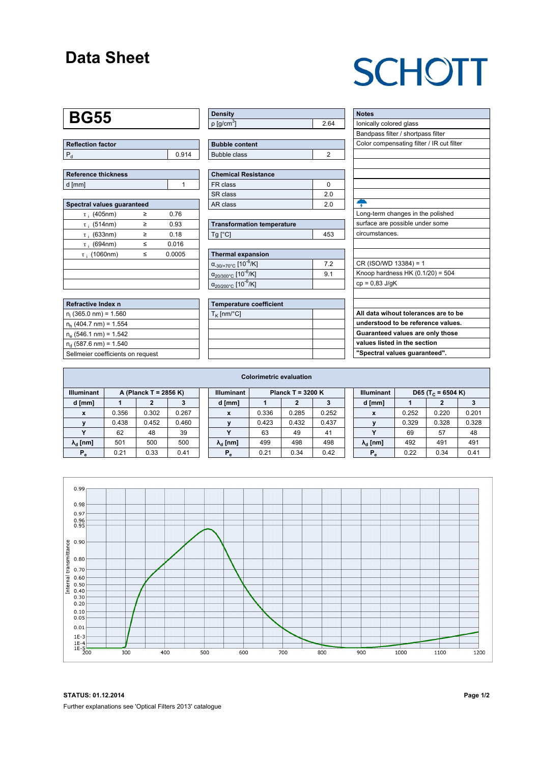### **Data Sheet**

# **SCHOTT**

## **BG55**

| Reflection factor |       |  |  |  |  |
|-------------------|-------|--|--|--|--|
|                   | 0.914 |  |  |  |  |

| <b>Reference thickness</b> |  |
|----------------------------|--|
| d [mm]                     |  |

| Spectral values quaranteed |   |        |  |  |  |  |  |  |  |
|----------------------------|---|--------|--|--|--|--|--|--|--|
| $\tau$ ; (405nm)           | ≥ | 0.76   |  |  |  |  |  |  |  |
| $\tau$ ; (514nm)           | ≥ | 0.93   |  |  |  |  |  |  |  |
| $\tau$ ; (633nm)           | ≥ | 0.18   |  |  |  |  |  |  |  |
| $\tau$ ; (694nm)           | < | 0.016  |  |  |  |  |  |  |  |
| $\tau$ (1060nm)            | < | 0.0005 |  |  |  |  |  |  |  |
|                            |   |        |  |  |  |  |  |  |  |
|                            |   |        |  |  |  |  |  |  |  |
|                            |   |        |  |  |  |  |  |  |  |

| Refractive Index n                |
|-----------------------------------|
| $n_i$ (365.0 nm) = 1.560          |
| $n_h$ (404.7 nm) = 1.554          |
| $n_e$ (546.1 nm) = 1.542          |
| $n_d$ (587.6 nm) = 1.540          |
| Sellmeier coefficients on request |

| Density                  |      |
|--------------------------|------|
| $p$ [g/cm <sup>3</sup> ] | - 64 |

| <b>Bubble content</b> |  |
|-----------------------|--|
| Bubble class          |  |
|                       |  |

| Chemical Resistance |     |
|---------------------|-----|
| FR class            |     |
| l SR class          | 20  |
| l AR class          | 2 በ |

| <b>Transformation temperature</b> |     |
|-----------------------------------|-----|
| $Ta$ $C1$                         | 453 |

| Thermal expansion                                 |    |
|---------------------------------------------------|----|
| $\alpha_{.30/+70\degree}$ C [10 <sup>-6</sup> /K] | 72 |
| $\alpha_{20/300^{\circ}C}$ [10 <sup>-6</sup> /K]  | 91 |
| $\alpha_{20/200^{\circ}C}$ [10 <sup>-6</sup> /K]  |    |

| <b>Temperature coefficient</b> |  |  |  |  |  |  |
|--------------------------------|--|--|--|--|--|--|
| $T_K$ [nm/°C]                  |  |  |  |  |  |  |
|                                |  |  |  |  |  |  |
|                                |  |  |  |  |  |  |
|                                |  |  |  |  |  |  |
|                                |  |  |  |  |  |  |

| <b>Notes</b>                              |
|-------------------------------------------|
| lonically colored glass                   |
| Bandpass filter / shortpass filter        |
| Color compensating filter / IR cut filter |
|                                           |
|                                           |
|                                           |
|                                           |
|                                           |
| Ş                                         |
| Long-term changes in the polished         |
| surface are possible under some           |
| circumstances.                            |
|                                           |
|                                           |
| CR (ISO/WD 13384) = 1                     |
| Knoop hardness HK $(0.1/20) = 504$        |
| $cp = 0.83$ J/qK                          |
|                                           |
|                                           |
| All data wihout tolerances are to be      |
| understood to be reference values.        |
| Guaranteed values are only those          |
| values listed in the section              |
| "Spectral values quaranteed".             |

| <b>Colorimetric evaluation</b>             |       |       |       |                   |                        |       |       |       |                                                    |                        |       |       |       |
|--------------------------------------------|-------|-------|-------|-------------------|------------------------|-------|-------|-------|----------------------------------------------------|------------------------|-------|-------|-------|
| <b>Illuminant</b><br>A (Planck T = 2856 K) |       |       |       | <b>Illuminant</b> | Planck T = $3200 K$    |       |       |       | <b>Illuminant</b><br>D65 (T <sub>c</sub> = 6504 K) |                        |       |       |       |
| d [mm]                                     |       |       |       |                   | d [mm]                 |       |       |       |                                                    | d [mm]                 |       |       |       |
| X                                          | 0.356 | 0.302 | 0.267 |                   | X                      | 0.336 | 0.285 | 0.252 |                                                    | X                      | 0.252 | 0.220 | 0.201 |
|                                            | 0.438 | 0.452 | 0.460 |                   |                        | 0.423 | 0.432 | 0.437 |                                                    |                        | 0.329 | 0.328 | 0.328 |
|                                            | 62    | 48    | 39    |                   |                        | 63    | 49    | 41    |                                                    | v                      | 69    | 57    | 48    |
| $\lambda_{\rm d}$ [nm]                     | 501   | 500   | 500   |                   | $\lambda_{\rm d}$ [nm] | 499   | 498   | 498   |                                                    | $\lambda_{\rm d}$ [nm] | 492   | 491   | 491   |
| $P_e$                                      | 0.21  | 0.33  | 0.41  |                   | $P_e$                  | 0.21  | 0.34  | 0.42  |                                                    | $P_e$                  | 0.22  | 0.34  | 0.41  |
|                                            |       |       |       |                   |                        |       |       |       |                                                    |                        |       |       |       |



**STATUS: 01.12.2014 Page 1/2** Further explanations see 'Optical Filters 2013' catalogue